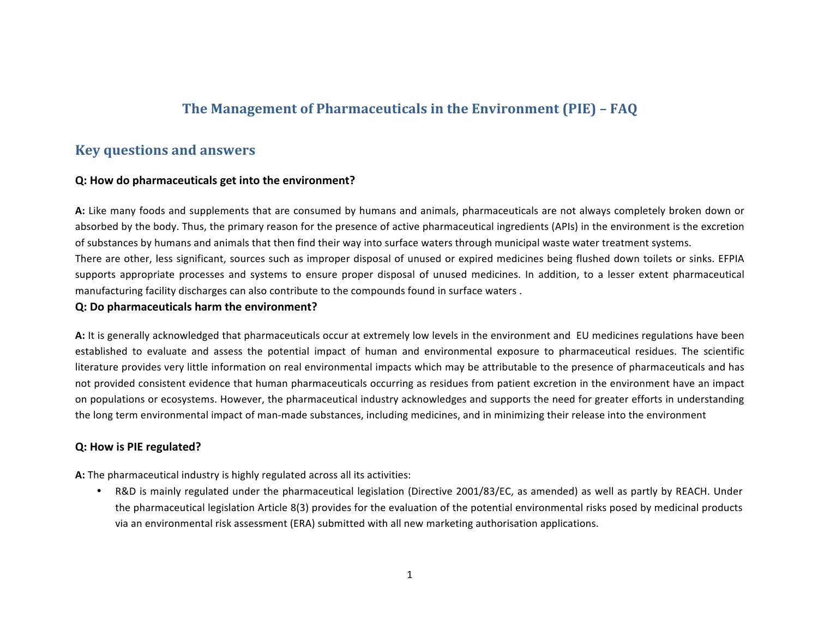# **The Management of Pharmaceuticals in the Environment (PIE) - FAQ**

## **Key questions and answers**

#### **Q:** How do pharmaceuticals get into the environment?

A: Like many foods and supplements that are consumed by humans and animals, pharmaceuticals are not always completely broken down or absorbed by the body. Thus, the primary reason for the presence of active pharmaceutical ingredients (APIs) in the environment is the excretion of substances by humans and animals that then find their way into surface waters through municipal waste water treatment systems. There are other, less significant, sources such as improper disposal of unused or expired medicines being flushed down toilets or sinks. EFPIA supports appropriate processes and systems to ensure proper disposal of unused medicines. In addition, to a lesser extent pharmaceutical manufacturing facility discharges can also contribute to the compounds found in surface waters.

#### **Q:** Do pharmaceuticals harm the environment?

A: It is generally acknowledged that pharmaceuticals occur at extremely low levels in the environment and EU medicines regulations have been established to evaluate and assess the potential impact of human and environmental exposure to pharmaceutical residues. The scientific literature provides very little information on real environmental impacts which may be attributable to the presence of pharmaceuticals and has not provided consistent evidence that human pharmaceuticals occurring as residues from patient excretion in the environment have an impact on populations or ecosystems. However, the pharmaceutical industry acknowledges and supports the need for greater efforts in understanding the long term environmental impact of man-made substances, including medicines, and in minimizing their release into the environment

## **Q: How is PIE regulated?**

**A:** The pharmaceutical industry is highly regulated across all its activities:

• R&D is mainly regulated under the pharmaceutical legislation (Directive 2001/83/EC, as amended) as well as partly by REACH. Under the pharmaceutical legislation Article 8(3) provides for the evaluation of the potential environmental risks posed by medicinal products via an environmental risk assessment (ERA) submitted with all new marketing authorisation applications.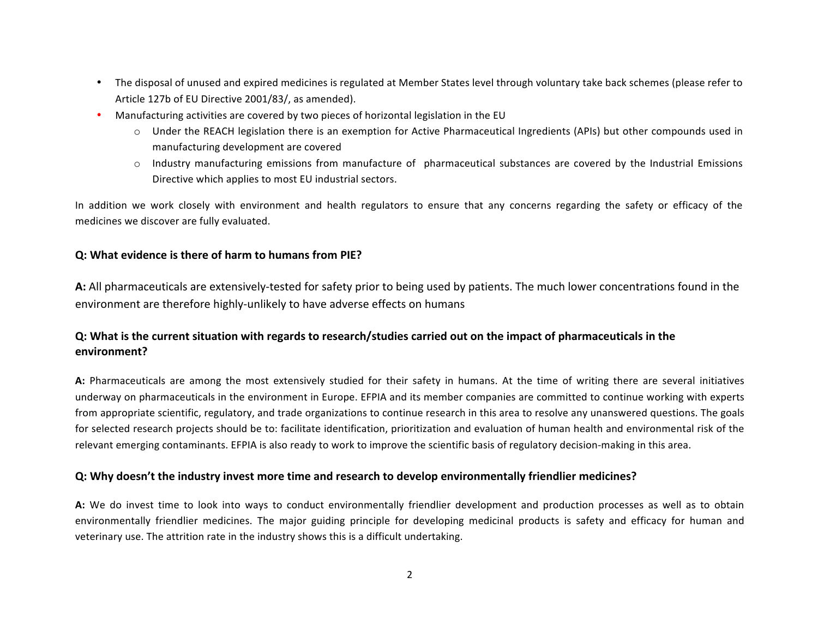- The disposal of unused and expired medicines is regulated at Member States level through voluntary take back schemes (please refer to Article 127b of EU Directive 2001/83/, as amended).
- Manufacturing activities are covered by two pieces of horizontal legislation in the EU
	- o Under the REACH legislation there is an exemption for Active Pharmaceutical Ingredients (APIs) but other compounds used in manufacturing development are covered
	- $\circ$  Industry manufacturing emissions from manufacture of pharmaceutical substances are covered by the Industrial Emissions Directive which applies to most EU industrial sectors.

In addition we work closely with environment and health regulators to ensure that any concerns regarding the safety or efficacy of the medicines we discover are fully evaluated.

#### **Q:** What evidence is there of harm to humans from PIE?

A: All pharmaceuticals are extensively-tested for safety prior to being used by patients. The much lower concentrations found in the environment are therefore highly-unlikely to have adverse effects on humans

## **Q:** What is the current situation with regards to research/studies carried out on the impact of pharmaceuticals in the **environment?**

A: Pharmaceuticals are among the most extensively studied for their safety in humans. At the time of writing there are several initiatives underway on pharmaceuticals in the environment in Europe. EFPIA and its member companies are committed to continue working with experts from appropriate scientific, regulatory, and trade organizations to continue research in this area to resolve any unanswered questions. The goals for selected research projects should be to: facilitate identification, prioritization and evaluation of human health and environmental risk of the relevant emerging contaminants. EFPIA is also ready to work to improve the scientific basis of regulatory decision-making in this area.

#### **Q:** Why doesn't the industry invest more time and research to develop environmentally friendlier medicines?

A: We do invest time to look into ways to conduct environmentally friendlier development and production processes as well as to obtain environmentally friendlier medicines. The major guiding principle for developing medicinal products is safety and efficacy for human and veterinary use. The attrition rate in the industry shows this is a difficult undertaking.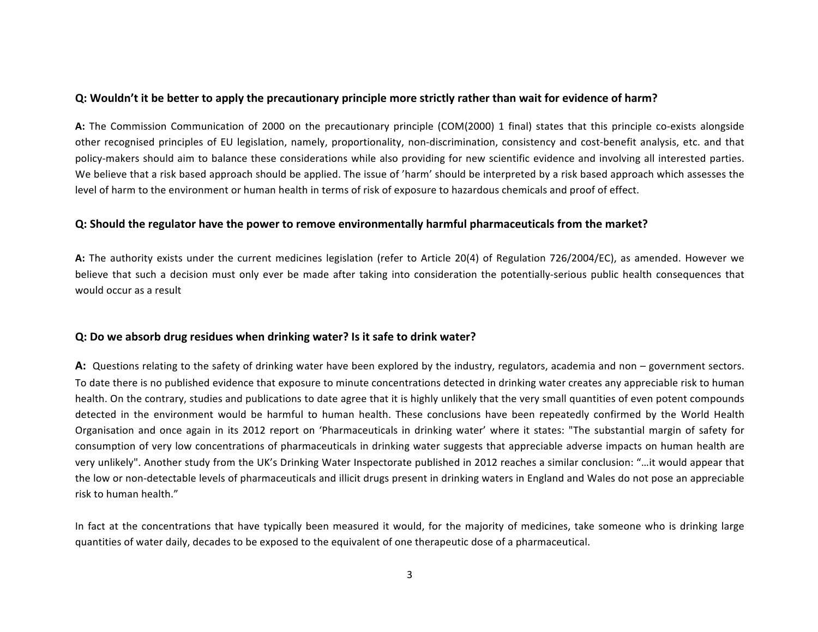#### **Q:** Wouldn't it be better to apply the precautionary principle more strictly rather than wait for evidence of harm?

A: The Commission Communication of 2000 on the precautionary principle (COM(2000) 1 final) states that this principle co-exists alongside other recognised principles of EU legislation, namely, proportionality, non-discrimination, consistency and cost-benefit analysis, etc. and that policy-makers should aim to balance these considerations while also providing for new scientific evidence and involving all interested parties. We believe that a risk based approach should be applied. The issue of 'harm' should be interpreted by a risk based approach which assesses the level of harm to the environment or human health in terms of risk of exposure to hazardous chemicals and proof of effect.

#### **Q:** Should the regulator have the power to remove environmentally harmful pharmaceuticals from the market?

A: The authority exists under the current medicines legislation (refer to Article 20(4) of Regulation 726/2004/EC), as amended. However we believe that such a decision must only ever be made after taking into consideration the potentially-serious public health consequences that would occur as a result

#### **Q:** Do we absorb drug residues when drinking water? Is it safe to drink water?

A: Questions relating to the safety of drinking water have been explored by the industry, regulators, academia and non – government sectors. To date there is no published evidence that exposure to minute concentrations detected in drinking water creates any appreciable risk to human health. On the contrary, studies and publications to date agree that it is highly unlikely that the very small quantities of even potent compounds detected in the environment would be harmful to human health. These conclusions have been repeatedly confirmed by the World Health Organisation and once again in its 2012 report on 'Pharmaceuticals in drinking water' where it states: "The substantial margin of safety for consumption of very low concentrations of pharmaceuticals in drinking water suggests that appreciable adverse impacts on human health are very unlikely". Another study from the UK's Drinking Water Inspectorate published in 2012 reaches a similar conclusion: "...it would appear that the low or non-detectable levels of pharmaceuticals and illicit drugs present in drinking waters in England and Wales do not pose an appreciable risk to human health."

In fact at the concentrations that have typically been measured it would, for the majority of medicines, take someone who is drinking large quantities of water daily, decades to be exposed to the equivalent of one therapeutic dose of a pharmaceutical.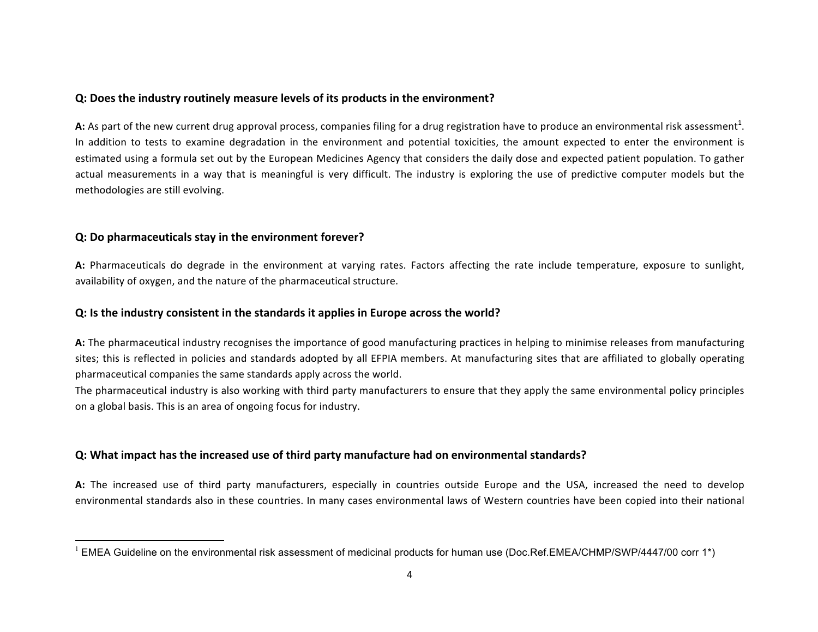## **Q:** Does the industry routinely measure levels of its products in the environment?

A: As part of the new current drug approval process, companies filing for a drug registration have to produce an environmental risk assessment<sup>1</sup>. In addition to tests to examine degradation in the environment and potential toxicities, the amount expected to enter the environment is estimated using a formula set out by the European Medicines Agency that considers the daily dose and expected patient population. To gather actual measurements in a way that is meaningful is very difficult. The industry is exploring the use of predictive computer models but the methodologies are still evolving.

## **Q:** Do pharmaceuticals stay in the environment forever?

<u> 1989 - Johann Stein, fransk politiker (d. 1989)</u>

A: Pharmaceuticals do degrade in the environment at varying rates. Factors affecting the rate include temperature, exposure to sunlight, availability of oxygen, and the nature of the pharmaceutical structure.

#### **Q:** Is the industry consistent in the standards it applies in Europe across the world?

A: The pharmaceutical industry recognises the importance of good manufacturing practices in helping to minimise releases from manufacturing sites; this is reflected in policies and standards adopted by all EFPIA members. At manufacturing sites that are affiliated to globally operating pharmaceutical companies the same standards apply across the world.

The pharmaceutical industry is also working with third party manufacturers to ensure that they apply the same environmental policy principles on a global basis. This is an area of ongoing focus for industry.

## **Q:** What impact has the increased use of third party manufacture had on environmental standards?

A: The increased use of third party manufacturers, especially in countries outside Europe and the USA, increased the need to develop environmental standards also in these countries. In many cases environmental laws of Western countries have been copied into their national

 $1$  EMEA Guideline on the environmental risk assessment of medicinal products for human use (Doc.Ref.EMEA/CHMP/SWP/4447/00 corr 1\*)